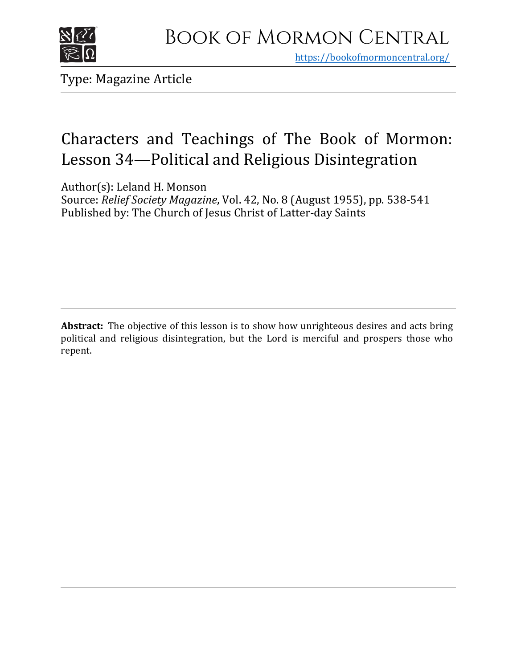

https[://bookofmormoncentral.org/](http://bookofmormoncentral.org/)

Type: Magazine Article

# Characters and Teachings of The Book of Mormon: Lesson 34—Political and Religious Disintegration

Author(s): Leland H. Monson

Source: *Relief Society Magazine*, Vol. 42, No. 8 (August 1955), pp. 538-541 Published by: The Church of Jesus Christ of Latter-day Saints

**Abstract:** The objective of this lesson is to show how unrighteous desires and acts bring political and religious disintegration, but the Lord is merciful and prospers those who repent.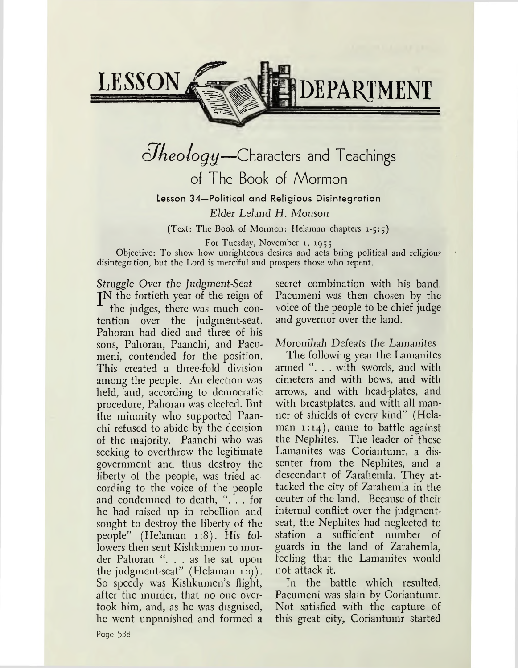

# $Q$ *heology*—Characters and Teachings of The Book of Mormon Lesson 34—Political and Religious Disintegration

*Elder Leland H. Monson*

(Text: The Book of Mormon: Helaman chapters 1-5:5)

For Tuesday, November 1, 1955

Objective: To show how unrighteous desires and acts bring political and religious disintegration, but the Lord is merciful and prospers those who repent.

*Struggle Over the Judgment-Seat*

JN the fortieth year of the reign of the judges, there was much contention over the judgment-seat. Pahoran had died and three of his sons, Pahoran, Paanchi, and Pacumeni, contended for the position. This created a three-fold division among the people. An election was held, and, according to democratic procedure, Pahoran was elected. But the minority who supported Paanchi refused to abide by the decision of the majority. Paanchi who was seeking to overthrow the legitimate government and thus destroy the liberty of the people, was tried according to the voice of the people and condemned to death, ". . . for he had raised up in rebellion and sought to destroy the liberty of the people" (Helaman 1:8). His followers then sent Kishkumen to murder Pahoran ". . . as he sat upon the judgment-seat" (Helaman 1:9). So speedy was Kishkumen's flight, after the murder, that no one overtook him, and, as he was disguised, he went unpunished and formed a

secret combination with his band. Pacumeni was then chosen by the voice of the people to be chief judge and governor over the land.

### Moronihah *Defeats the Lamanites*

The following year the Lamanites armed ". . . with swords, and with cimeters and with bows, and with arrows, and with head-plates, and with breastplates, and with all manner of shields of every kind" (Helaman 1:14), came to battle against the Nephites. The leader of these Lamanites was Coriantumr, a dissenter from the Nephites, and a descendant of Zarahemla. They attacked the city of Zarahemla in the center of the land. Because of their internal conflict over the judgmentseat, the Nephites had neglected to station a sufficient number of guards in the land of Zarahemla, feeling that the Lamanites would not attack it.

In the battle which resulted, Pacumeni was slain by Coriantumr. Not satisfied with the capture of this great city, Coriantumr started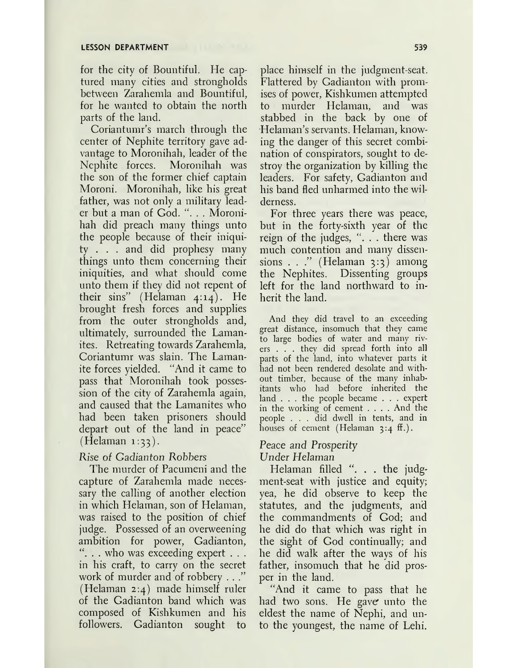for the city of Bountiful. He captured many cities and strongholds between Zarahemla and Bountiful, for he wanted to obtain the north parts of the land.

Coriantumr's march through the center of Nephite territory gave advantage to Moronihah, leader of the Nephite forces. Moronihah was the son of the former chief captain Moroni. Moronihah, like his great father, was not only a military leader but a man of God. ". . . Moronihah did preach many things unto the people because of their iniquity .. . and did prophesy many things unto them concerning their iniquities, and what should come unto them if they did not repent of their sins" (Helaman 4:14). He brought fresh forces and supplies from the outer strongholds and, ultimately, surrounded the Lamanites. Retreating towards Zarahemla, Coriantumr was slain. The Lamanite forces yielded. "And it came to pass that Moronihah took possession of the city of Zarahemla again, and caused that the Lamanites who had been taken prisoners should depart out of the land in peace"  $(Helaman 1:33).$ 

#### *Rise of Gadianton Robbers*

The murder of Pacumeni and the capture of Zarahemla made necessary the calling of another election in which Helaman, son of Helaman, was raised to the position of chief judge. Possessed of an overweening ambition for power, Gadianton,  $\ldots$  who was exceeding expert  $\ldots$ in his craft, to carry on the secret work of murder and of robbery . . ." (Helaman 2:4) made himself ruler of the Gadianton band which was composed of Kishkumen and his followers. Gadianton sought to

place himself in the judgment-seat. Flattered by Gadianton with promises of power, Kishkumen attempted to murder Helaman, and was stabbed in the back by one of Helaman'<sup>s</sup> servants. Helaman, knowing the danger of this secret combination of conspirators, sought to destroy the organization by killing the leaders. For safety, Gadianton and his band fled unharmed into the wilderness.

For three years there was peace, but in the forty-sixth year of the reign of the judges,  $\ldots$  there was much contention and many dissensions  $\ldots$  " (Helaman 3:3) among the Nephites. Dissenting groups left for the land northward to inherit the land.

And they did travel to an exceeding great distance, insomuch that they came to large bodies of water and many rivers .. . they did spread forth into all parts of the land, into whatever parts it had not been rendered desolate and without timber, because of the many inhabitants who had before inherited the land . . . the people became . . . expert in the working of cement . . . .And the people . . . did dwell in tents, and in houses of cement (Helaman  $3:4$  ff.).

#### Peace *and Prosperity Under Helaman*

Helaman filled ". . . the judgment-seat with justice and equity; yea, he did observe to keep the statutes, and the judgments, and the commandments of God; and he did do that which was right in the sight of God continually; and he did walk after the ways of his father, insomuch that he did prosper in the land.

"And it came to pass that he had two sons. He gave unto the eldest the name of Nephi, and unto the youngest, the name of Lehi.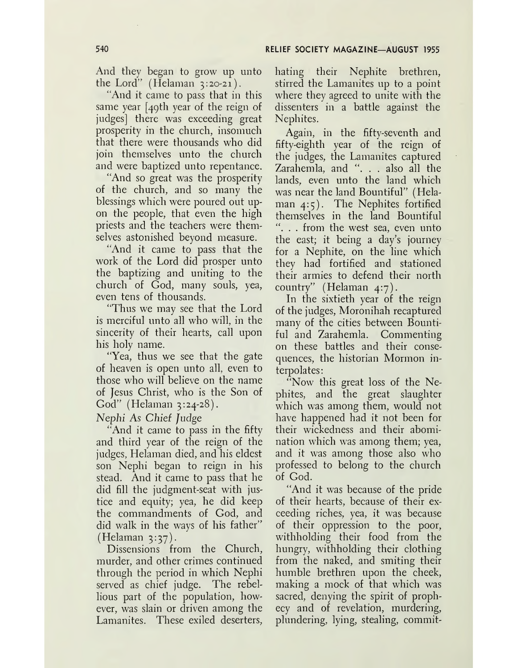And they began to grow up unto the Lord" (Helaman 3:20-21).

"And it came to pass that in this same year [49th year of the reign of judges] there was exceeding great prosperity in the church, insomuch that there were thousands who did join themselves unto the church and were baptized unto repentance.

"And so great was the prosperity of the church, and so many the blessings which were poured out upon the people, that even the high priests and the teachers were themselves astonished beyond measure.

"And it came to pass that the work of the Lord did prosper unto the baptizing and uniting to the church of God, many souls, yea, even tens of thousands.

"Thus we may see that the Lord is merciful unto all who will, in the sincerity of their hearts, call upon his holy name.

"Yea, thus we see that the gate of heaven is open unto all, even to those who will believe on the name of Jesus Christ, who is the Son of God" (Helaman 3:24-28).

*Nephi As Chief Judge*

And it came to pass in the fifty and third year of the reign of the judges, Helaman died, and his eldest son Nephi began to reign in his stead. And it came to pass that he did fill the judgment-seat with justice and equity; yea, he did keep the commandments of God, and did walk in the ways of his father"  $(Helaman 3:37).$ 

Dissensions from the Church, murder, and other crimes continued through the period in which Nephi served as chief judge. The rebellious part of the population, however, was slain or driven among the Lamanites. These exiled deserters, hating their Nephite brethren, stirred the Lamanites up to a point where they agreed to unite with the dissenters in a battle against the Nephites.

Again, in the fifty-seventh and fifty-eighth year of the reign of the judges, the Lamanites captured Zarahemla, and "... also all the lands, even unto the land which was near the land Bountiful" (Helaman 4:5). The Nephites fortified themselves in the land Bountiful ", . . from the west sea, even unto the east; it being a day's journey for a Nephite, on the line which they had fortified and stationed their armies to defend their north country" (Helaman 4:7).

In the sixtieth year of the reign of the judges, Moronihah recaptured many of the cities between Bountiful and Zarahemla. Commenting on these battles and their consequences, the historian Mormon interpolates:

"Now this great loss of the Nephites, and the great slaughter which was among them, would not have happened had it not been for their wickedness and their abomination which was among them; yea, and it was among those also who professed to belong to the church of God.

"And it was because of the pride of their hearts, because of their exceeding riches, yea, it was because of their oppression to the poor, withholding their food from the hungry, withholding their clothing from the naked, and smiting their humble brethren upon the cheek, making a mock of that which was sacred, denying the spirit of prophecy and of revelation, murdering, plundering, lying, stealing, commit